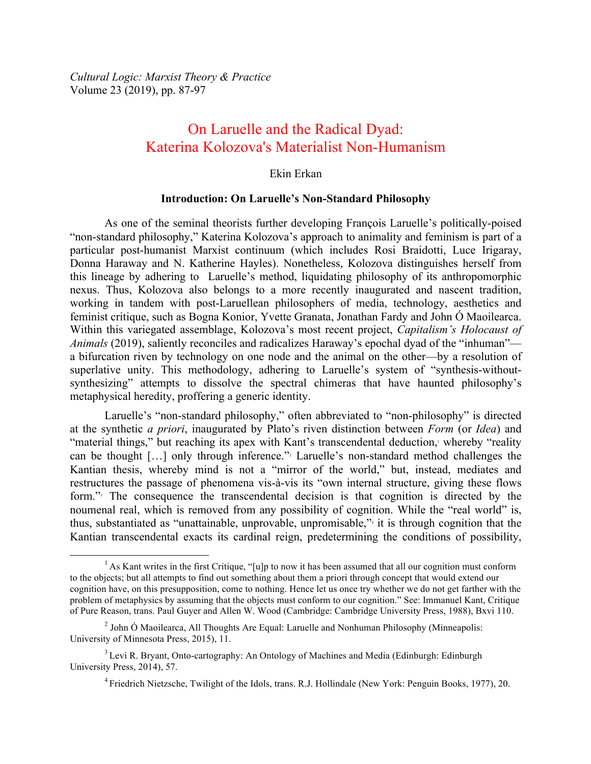*Cultural Logic: Marxist Theory & Practice* Volume 23 (2019), pp. 87-97

# On Laruelle and the Radical Dyad: Katerina Kolozova's Materialist Non-Humanism

#### Ekin Erkan

#### **Introduction: On Laruelle's Non-Standard Philosophy**

As one of the seminal theorists further developing François Laruelle's politically-poised "non-standard philosophy," Katerina Kolozova's approach to animality and feminism is part of a particular post-humanist Marxist continuum (which includes Rosi Braidotti, Luce Irigaray, Donna Haraway and N. Katherine Hayles). Nonetheless, Kolozova distinguishes herself from this lineage by adhering to Laruelle's method, liquidating philosophy of its anthropomorphic nexus. Thus, Kolozova also belongs to a more recently inaugurated and nascent tradition, working in tandem with post-Laruellean philosophers of media, technology, aesthetics and feminist critique, such as Bogna Konior, Yvette Granata, Jonathan Fardy and John Ó Maoilearca. Within this variegated assemblage, Kolozova's most recent project, *Capitalism's Holocaust of Animals* (2019), saliently reconciles and radicalizes Haraway's epochal dyad of the "inhuman" a bifurcation riven by technology on one node and the animal on the other—by a resolution of superlative unity. This methodology, adhering to Laruelle's system of "synthesis-withoutsynthesizing" attempts to dissolve the spectral chimeras that have haunted philosophy's metaphysical heredity, proffering a generic identity.

Laruelle's "non-standard philosophy," often abbreviated to "non-philosophy" is directed at the synthetic *a priori*, inaugurated by Plato's riven distinction between *Form* (or *Idea*) and "material things," but reaching its apex with Kant's transcendental deduction, whereby "reality" can be thought [...] only through inference." Laruelle's non-standard method challenges the Kantian thesis, whereby mind is not a "mirror of the world," but, instead, mediates and restructures the passage of phenomena vis-à-vis its "own internal structure, giving these flows form."<sup>3</sup> The consequence the transcendental decision is that cognition is directed by the noumenal real, which is removed from any possibility of cognition. While the "real world" is, thus, substantiated as "unattainable, unprovable, unpromisable,"<sup>4</sup> it is through cognition that the Kantian transcendental exacts its cardinal reign, predetermining the conditions of possibility,

<sup>&</sup>lt;sup>1</sup> As Kant writes in the first Critique, "[u]p to now it has been assumed that all our cognition must conform to the objects; but all attempts to find out something about them a priori through concept that would extend our cognition have, on this presupposition, come to nothing. Hence let us once try whether we do not get farther with the problem of metaphysics by assuming that the objects must conform to our cognition." See: Immanuel Kant, Critique of Pure Reason, trans. Paul Guyer and Allen W. Wood (Cambridge: Cambridge University Press, 1988), Bxvi 110.

 $2$  John Ó Maoilearca, All Thoughts Are Equal: Laruelle and Nonhuman Philosophy (Minneapolis: University of Minnesota Press, 2015), 11.

<sup>&</sup>lt;sup>3</sup> Levi R. Bryant, Onto-cartography: An Ontology of Machines and Media (Edinburgh: Edinburgh University Press, 2014), 57.

<sup>4</sup> Friedrich Nietzsche, Twilight of the Idols, trans. R.J. Hollindale (New York: Penguin Books, 1977), 20.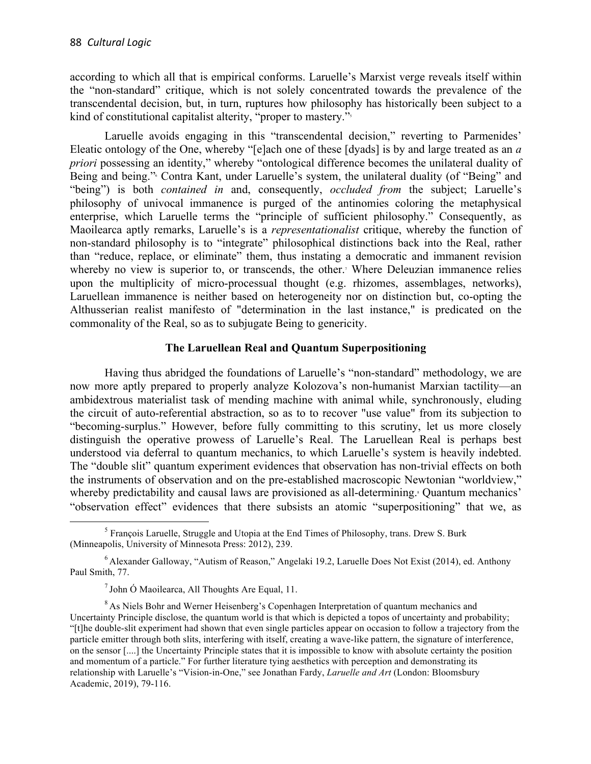according to which all that is empirical conforms. Laruelle's Marxist verge reveals itself within the "non-standard" critique, which is not solely concentrated towards the prevalence of the transcendental decision, but, in turn, ruptures how philosophy has historically been subject to a kind of constitutional capitalist alterity, "proper to mastery."<sup>5</sup>

Laruelle avoids engaging in this "transcendental decision," reverting to Parmenides' Eleatic ontology of the One, whereby "[e]ach one of these [dyads] is by and large treated as an *a priori* possessing an identity," whereby "ontological difference becomes the unilateral duality of Being and being." Contra Kant, under Laruelle's system, the unilateral duality (of "Being" and "being") is both *contained in* and, consequently, *occluded from* the subject; Laruelle's philosophy of univocal immanence is purged of the antinomies coloring the metaphysical enterprise, which Laruelle terms the "principle of sufficient philosophy." Consequently, as Maoilearca aptly remarks, Laruelle's is a *representationalist* critique, whereby the function of non-standard philosophy is to "integrate" philosophical distinctions back into the Real, rather than "reduce, replace, or eliminate" them, thus instating a democratic and immanent revision whereby no view is superior to, or transcends, the other.<sup>7</sup> Where Deleuzian immanence relies upon the multiplicity of micro-processual thought (e.g. rhizomes, assemblages, networks), Laruellean immanence is neither based on heterogeneity nor on distinction but, co-opting the Althusserian realist manifesto of "determination in the last instance," is predicated on the commonality of the Real, so as to subjugate Being to genericity.

## **The Laruellean Real and Quantum Superpositioning**

Having thus abridged the foundations of Laruelle's "non-standard" methodology, we are now more aptly prepared to properly analyze Kolozova's non-humanist Marxian tactility—an ambidextrous materialist task of mending machine with animal while, synchronously, eluding the circuit of auto-referential abstraction, so as to to recover "use value" from its subjection to "becoming-surplus." However, before fully committing to this scrutiny, let us more closely distinguish the operative prowess of Laruelle's Real. The Laruellean Real is perhaps best understood via deferral to quantum mechanics, to which Laruelle's system is heavily indebted. The "double slit" quantum experiment evidences that observation has non-trivial effects on both the instruments of observation and on the pre-established macroscopic Newtonian "worldview," whereby predictability and causal laws are provisioned as all-determining.<sup>8</sup> Quantum mechanics' "observation effect" evidences that there subsists an atomic "superpositioning" that we, as

<sup>&</sup>lt;sup>5</sup> Francois Laruelle, Struggle and Utopia at the End Times of Philosophy, trans. Drew S. Burk (Minneapolis, University of Minnesota Press: 2012), 239.

<sup>6</sup> Alexander Galloway, "Autism of Reason," Angelaki 19.2, Laruelle Does Not Exist (2014), ed. Anthony Paul Smith, 77.

 $<sup>7</sup>$  John Ó Maoilearca, All Thoughts Are Equal, 11.</sup>

<sup>&</sup>lt;sup>8</sup> As Niels Bohr and Werner Heisenberg's Copenhagen Interpretation of quantum mechanics and Uncertainty Principle disclose, the quantum world is that which is depicted a topos of uncertainty and probability; "[t]he double-slit experiment had shown that even single particles appear on occasion to follow a trajectory from the particle emitter through both slits, interfering with itself, creating a wave-like pattern, the signature of interference, on the sensor [....] the Uncertainty Principle states that it is impossible to know with absolute certainty the position and momentum of a particle." For further literature tying aesthetics with perception and demonstrating its relationship with Laruelle's "Vision-in-One," see Jonathan Fardy, *Laruelle and Art* (London: Bloomsbury Academic, 2019), 79-116.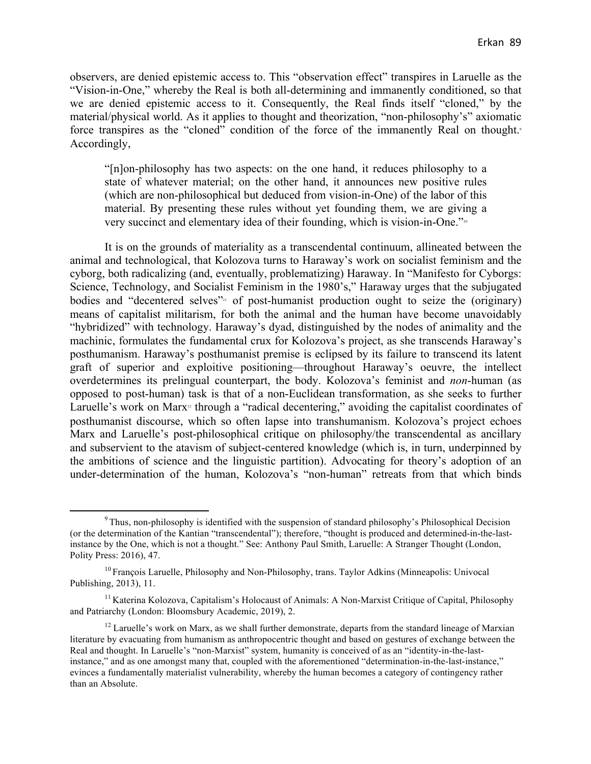observers, are denied epistemic access to. This "observation effect" transpires in Laruelle as the "Vision-in-One," whereby the Real is both all-determining and immanently conditioned, so that we are denied epistemic access to it. Consequently, the Real finds itself "cloned," by the material/physical world. As it applies to thought and theorization, "non-philosophy's" axiomatic force transpires as the "cloned" condition of the force of the immanently Real on thought.<sup>9</sup> Accordingly,

"[n]on-philosophy has two aspects: on the one hand, it reduces philosophy to a state of whatever material; on the other hand, it announces new positive rules (which are non-philosophical but deduced from vision-in-One) of the labor of this material. By presenting these rules without yet founding them, we are giving a very succinct and elementary idea of their founding, which is vision-in-One."<sup>10</sup>

It is on the grounds of materiality as a transcendental continuum, allineated between the animal and technological, that Kolozova turns to Haraway's work on socialist feminism and the cyborg, both radicalizing (and, eventually, problematizing) Haraway. In "Manifesto for Cyborgs: Science, Technology, and Socialist Feminism in the 1980's," Haraway urges that the subjugated bodies and "decentered selves" $\cdot$  of post-humanist production ought to seize the (originary) means of capitalist militarism, for both the animal and the human have become unavoidably "hybridized" with technology. Haraway's dyad, distinguished by the nodes of animality and the machinic, formulates the fundamental crux for Kolozova's project, as she transcends Haraway's posthumanism. Haraway's posthumanist premise is eclipsed by its failure to transcend its latent graft of superior and exploitive positioning—throughout Haraway's oeuvre, the intellect overdetermines its prelingual counterpart, the body. Kolozova's feminist and *non*-human (as opposed to post-human) task is that of a non-Euclidean transformation, as she seeks to further Laruelle's work on Marx<sup>12</sup> through a "radical decentering," avoiding the capitalist coordinates of posthumanist discourse, which so often lapse into transhumanism. Kolozova's project echoes Marx and Laruelle's post-philosophical critique on philosophy/the transcendental as ancillary and subservient to the atavism of subject-centered knowledge (which is, in turn, underpinned by the ambitions of science and the linguistic partition). Advocating for theory's adoption of an under-determination of the human, Kolozova's "non-human" retreats from that which binds

 $9$  Thus, non-philosophy is identified with the suspension of standard philosophy's Philosophical Decision (or the determination of the Kantian "transcendental"); therefore, "thought is produced and determined-in-the-lastinstance by the One, which is not a thought." See: Anthony Paul Smith, Laruelle: A Stranger Thought (London, Polity Press: 2016), 47.

<sup>&</sup>lt;sup>10</sup> François Laruelle, Philosophy and Non-Philosophy, trans. Taylor Adkins (Minneapolis: Univocal Publishing, 2013), 11.

<sup>&</sup>lt;sup>11</sup> Katerina Kolozova, Capitalism's Holocaust of Animals: A Non-Marxist Critique of Capital, Philosophy and Patriarchy (London: Bloomsbury Academic, 2019), 2.

 $12$  Laruelle's work on Marx, as we shall further demonstrate, departs from the standard lineage of Marxian literature by evacuating from humanism as anthropocentric thought and based on gestures of exchange between the Real and thought. In Laruelle's "non-Marxist" system, humanity is conceived of as an "identity-in-the-lastinstance," and as one amongst many that, coupled with the aforementioned "determination-in-the-last-instance," evinces a fundamentally materialist vulnerability, whereby the human becomes a category of contingency rather than an Absolute.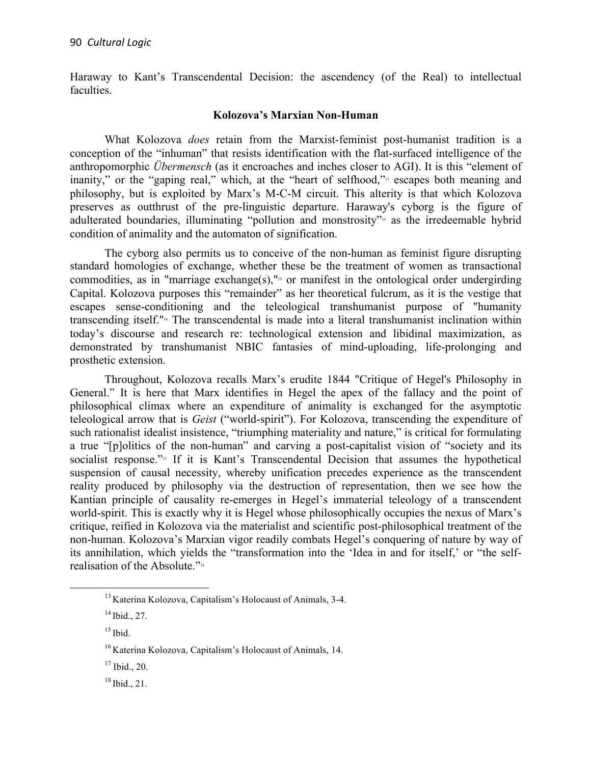Haraway to Kant's Transcendental Decision: the ascendency (of the Real) to intellectual faculties.

## **Kolozova's Marxian Non-Human**

What Kolozova *does* retain from the Marxist-feminist post-humanist tradition is a conception of the "inhuman" that resists identification with the flat-surfaced intelligence of the anthropomorphic *Übermensch* (as it encroaches and inches closer to AGI). It is this "element of inanity," or the "gaping real," which, at the "heart of selfhood," escapes both meaning and philosophy, but is exploited by Marx's M-C-M circuit. This alterity is that which Kolozova preserves as outthrust of the pre-linguistic departure. Haraway's cyborg is the figure of adulterated boundaries, illuminating "pollution and monstrosity"<sup>4</sup> as the irredeemable hybrid condition of animality and the automaton of signification.

The cyborg also permits us to conceive of the non-human as feminist figure disrupting standard homologies of exchange, whether these be the treatment of women as transactional commodities, as in "marriage exchange(s),"<sup>15</sup> or manifest in the ontological order undergirding Capital. Kolozova purposes this "remainder" as her theoretical fulcrum, as it is the vestige that escapes sense-conditioning and the teleological transhumanist purpose of "humanity transcending itself."<sup>16</sup> The transcendental is made into a literal transhumanist inclination within today's discourse and research re: technological extension and libidinal maximization, as demonstrated by transhumanist NBIC fantasies of mind-uploading, life-prolonging and prosthetic extension.

Throughout, Kolozova recalls Marx's erudite 1844 "Critique of Hegel's Philosophy in General." It is here that Marx identifies in Hegel the apex of the fallacy and the point of philosophical climax where an expenditure of animality is exchanged for the asymptotic teleological arrow that is *Geist* ("world-spirit"). For Kolozova, transcending the expenditure of such rationalist idealist insistence, "triumphing materiality and nature," is critical for formulating a true "[p]olitics of the non-human" and carving a post-capitalist vision of "society and its socialist response." $\pi$  If it is Kant's Transcendental Decision that assumes the hypothetical suspension of causal necessity, whereby unification precedes experience as the transcendent reality produced by philosophy via the destruction of representation, then we see how the Kantian principle of causality re-emerges in Hegel's immaterial teleology of a transcendent world-spirit. This is exactly why it is Hegel whose philosophically occupies the nexus of Marx's critique, reified in Kolozova via the materialist and scientific post-philosophical treatment of the non-human. Kolozova's Marxian vigor readily combats Hegel's conquering of nature by way of its annihilation, which yields the "transformation into the 'Idea in and for itself,' or "the selfrealisation of the Absolute."<sup>18</sup>

 

<sup>13</sup> Katerina Kolozova, Capitalism's Holocaust of Animals, 3-4.

<sup>14</sup> Ibid., 27.

 $15$  Ibid.

<sup>&</sup>lt;sup>16</sup> Katerina Kolozova, Capitalism's Holocaust of Animals, 14.

 $17$  Ibid., 20.

 $18$  Ibid., 21.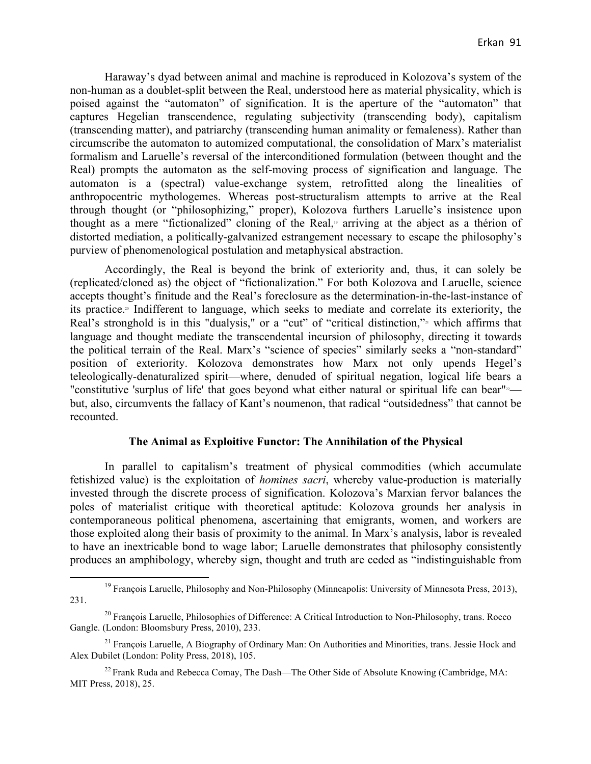Haraway's dyad between animal and machine is reproduced in Kolozova's system of the non-human as a doublet-split between the Real, understood here as material physicality, which is poised against the "automaton" of signification. It is the aperture of the "automaton" that captures Hegelian transcendence, regulating subjectivity (transcending body), capitalism (transcending matter), and patriarchy (transcending human animality or femaleness). Rather than circumscribe the automaton to automized computational, the consolidation of Marx's materialist formalism and Laruelle's reversal of the interconditioned formulation (between thought and the Real) prompts the automaton as the self-moving process of signification and language. The automaton is a (spectral) value-exchange system, retrofitted along the linealities of anthropocentric mythologemes. Whereas post-structuralism attempts to arrive at the Real through thought (or "philosophizing," proper), Kolozova furthers Laruelle's insistence upon thought as a mere "fictionalized" cloning of the Real, <sup>19</sup> arriving at the abject as a thérion of distorted mediation, a politically-galvanized estrangement necessary to escape the philosophy's purview of phenomenological postulation and metaphysical abstraction.

Accordingly, the Real is beyond the brink of exteriority and, thus, it can solely be (replicated/cloned as) the object of "fictionalization." For both Kolozova and Laruelle, science accepts thought's finitude and the Real's foreclosure as the determination-in-the-last-instance of its practice.<sup>®</sup> Indifferent to language, which seeks to mediate and correlate its exteriority, the Real's stronghold is in this "dualysis," or a "cut" of "critical distinction,"<sup>21</sup> which affirms that language and thought mediate the transcendental incursion of philosophy, directing it towards the political terrain of the Real. Marx's "science of species" similarly seeks a "non-standard" position of exteriority. Kolozova demonstrates how Marx not only upends Hegel's teleologically-denaturalized spirit—where, denuded of spiritual negation, logical life bears a "constitutive 'surplus of life' that goes beyond what either natural or spiritual life can bear"<sup>22</sup> but, also, circumvents the fallacy of Kant's noumenon, that radical "outsidedness" that cannot be recounted.

## **The Animal as Exploitive Functor: The Annihilation of the Physical**

In parallel to capitalism's treatment of physical commodities (which accumulate fetishized value) is the exploitation of *homines sacri*, whereby value-production is materially invested through the discrete process of signification. Kolozova's Marxian fervor balances the poles of materialist critique with theoretical aptitude: Kolozova grounds her analysis in contemporaneous political phenomena, ascertaining that emigrants, women, and workers are those exploited along their basis of proximity to the animal. In Marx's analysis, labor is revealed to have an inextricable bond to wage labor; Laruelle demonstrates that philosophy consistently produces an amphibology, whereby sign, thought and truth are ceded as "indistinguishable from

<sup>&</sup>lt;sup>19</sup> François Laruelle, Philosophy and Non-Philosophy (Minneapolis: University of Minnesota Press, 2013), 231.

 $^{20}$  François Laruelle, Philosophies of Difference: A Critical Introduction to Non-Philosophy, trans. Rocco Gangle. (London: Bloomsbury Press, 2010), 233.

<sup>&</sup>lt;sup>21</sup> François Laruelle, A Biography of Ordinary Man: On Authorities and Minorities, trans. Jessie Hock and Alex Dubilet (London: Polity Press, 2018), 105.

<sup>&</sup>lt;sup>22</sup> Frank Ruda and Rebecca Comay, The Dash—The Other Side of Absolute Knowing (Cambridge, MA: MIT Press, 2018), 25.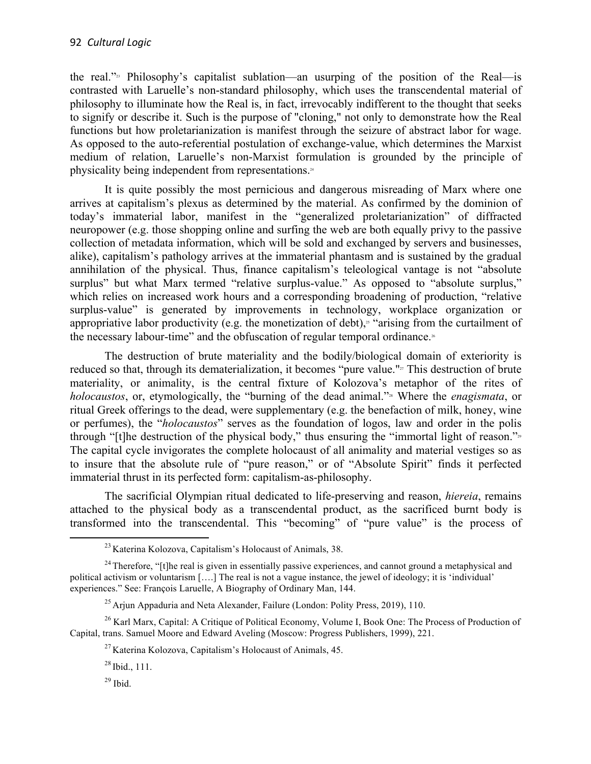the real." $23$  Philosophy's capitalist sublation—an usurping of the position of the Real—is contrasted with Laruelle's non-standard philosophy, which uses the transcendental material of philosophy to illuminate how the Real is, in fact, irrevocably indifferent to the thought that seeks to signify or describe it. Such is the purpose of "cloning," not only to demonstrate how the Real functions but how proletarianization is manifest through the seizure of abstract labor for wage. As opposed to the auto-referential postulation of exchange-value, which determines the Marxist medium of relation, Laruelle's non-Marxist formulation is grounded by the principle of physicality being independent from representations.<sup>24</sup>

It is quite possibly the most pernicious and dangerous misreading of Marx where one arrives at capitalism's plexus as determined by the material. As confirmed by the dominion of today's immaterial labor, manifest in the "generalized proletarianization" of diffracted neuropower (e.g. those shopping online and surfing the web are both equally privy to the passive collection of metadata information, which will be sold and exchanged by servers and businesses, alike), capitalism's pathology arrives at the immaterial phantasm and is sustained by the gradual annihilation of the physical. Thus, finance capitalism's teleological vantage is not "absolute surplus" but what Marx termed "relative surplus-value." As opposed to "absolute surplus," which relies on increased work hours and a corresponding broadening of production, "relative surplus-value" is generated by improvements in technology, workplace organization or appropriative labor productivity (e.g. the monetization of debt),<sup> $\alpha$ </sup> "arising from the curtailment of the necessary labour-time" and the obfuscation of regular temporal ordinance.<sup>26</sup>

The destruction of brute materiality and the bodily/biological domain of exteriority is reduced so that, through its dematerialization, it becomes "pure value."<sup>27</sup> This destruction of brute materiality, or animality, is the central fixture of Kolozova's metaphor of the rites of *holocaustos*, or, etymologically, the "burning of the dead animal."<sup>28</sup> Where the *enagismata*, or ritual Greek offerings to the dead, were supplementary (e.g. the benefaction of milk, honey, wine or perfumes), the "*holocaustos*" serves as the foundation of logos, law and order in the polis through "[t]he destruction of the physical body," thus ensuring the "immortal light of reason." $\frac{3}{2}$ " The capital cycle invigorates the complete holocaust of all animality and material vestiges so as to insure that the absolute rule of "pure reason," or of "Absolute Spirit" finds it perfected immaterial thrust in its perfected form: capitalism-as-philosophy.

The sacrificial Olympian ritual dedicated to life-preserving and reason, *hiereia*, remains attached to the physical body as a transcendental product, as the sacrificed burnt body is transformed into the transcendental. This "becoming" of "pure value" is the process of

 <sup>23</sup> Katerina Kolozova, Capitalism's Holocaust of Animals, 38.

 $24$  Therefore, "[t]he real is given in essentially passive experiences, and cannot ground a metaphysical and political activism or voluntarism [….] The real is not a vague instance, the jewel of ideology; it is 'individual' experiences." See: François Laruelle, A Biography of Ordinary Man, 144.

 $^{25}$  Arjun Appaduria and Neta Alexander, Failure (London: Polity Press, 2019), 110.

<sup>&</sup>lt;sup>26</sup> Karl Marx, Capital: A Critique of Political Economy, Volume I, Book One: The Process of Production of Capital, trans. Samuel Moore and Edward Aveling (Moscow: Progress Publishers, 1999), 221.

<sup>&</sup>lt;sup>27</sup> Katerina Kolozova, Capitalism's Holocaust of Animals, 45.

 $28$  Ibid., 111.

 $29$  Ibid.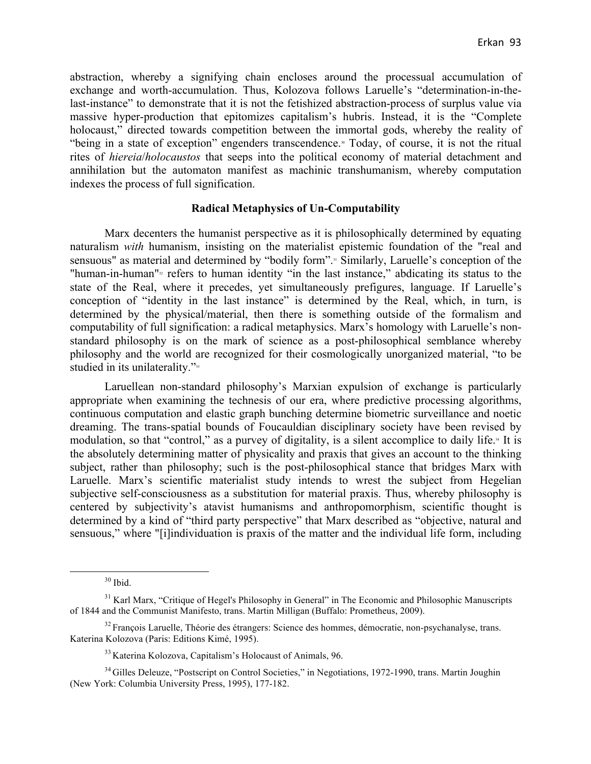abstraction, whereby a signifying chain encloses around the processual accumulation of exchange and worth-accumulation. Thus, Kolozova follows Laruelle's "determination-in-thelast-instance" to demonstrate that it is not the fetishized abstraction-process of surplus value via massive hyper-production that epitomizes capitalism's hubris. Instead, it is the "Complete holocaust," directed towards competition between the immortal gods, whereby the reality of "being in a state of exception" engenders transcendence.<sup>30</sup> Today, of course, it is not the ritual rites of *hiereia*/*holocaustos* that seeps into the political economy of material detachment and annihilation but the automaton manifest as machinic transhumanism, whereby computation indexes the process of full signification.

## **Radical Metaphysics of Un-Computability**

Marx decenters the humanist perspective as it is philosophically determined by equating naturalism *with* humanism, insisting on the materialist epistemic foundation of the "real and sensuous" as material and determined by "bodily form".<sup>31</sup> Similarly, Laruelle's conception of the "human-in-human"<sup>32</sup> refers to human identity "in the last instance," abdicating its status to the state of the Real, where it precedes, yet simultaneously prefigures, language. If Laruelle's conception of "identity in the last instance" is determined by the Real, which, in turn, is determined by the physical/material, then there is something outside of the formalism and computability of full signification: a radical metaphysics. Marx's homology with Laruelle's nonstandard philosophy is on the mark of science as a post-philosophical semblance whereby philosophy and the world are recognized for their cosmologically unorganized material, "to be studied in its unilaterality."<sup>33</sup>

Laruellean non-standard philosophy's Marxian expulsion of exchange is particularly appropriate when examining the technesis of our era, where predictive processing algorithms, continuous computation and elastic graph bunching determine biometric surveillance and noetic dreaming. The trans-spatial bounds of Foucauldian disciplinary society have been revised by modulation, so that "control," as a purvey of digitality, is a silent accomplice to daily life.<sup>44</sup> It is the absolutely determining matter of physicality and praxis that gives an account to the thinking subject, rather than philosophy; such is the post-philosophical stance that bridges Marx with Laruelle. Marx's scientific materialist study intends to wrest the subject from Hegelian subjective self-consciousness as a substitution for material praxis. Thus, whereby philosophy is centered by subjectivity's atavist humanisms and anthropomorphism, scientific thought is determined by a kind of "third party perspective" that Marx described as "objective, natural and sensuous," where "[i]individuation is praxis of the matter and the individual life form, including

 <sup>30</sup> Ibid.

<sup>&</sup>lt;sup>31</sup> Karl Marx, "Critique of Hegel's Philosophy in General" in The Economic and Philosophic Manuscripts of 1844 and the Communist Manifesto, trans. Martin Milligan (Buffalo: Prometheus, 2009).

<sup>&</sup>lt;sup>32</sup> François Laruelle, Théorie des étrangers: Science des hommes, démocratie, non-psychanalyse, trans. Katerina Kolozova (Paris: Editions Kimé, 1995).

<sup>33</sup> Katerina Kolozova, Capitalism's Holocaust of Animals, 96.

<sup>&</sup>lt;sup>34</sup> Gilles Deleuze, "Postscript on Control Societies," in Negotiations, 1972-1990, trans. Martin Joughin (New York: Columbia University Press, 1995), 177-182.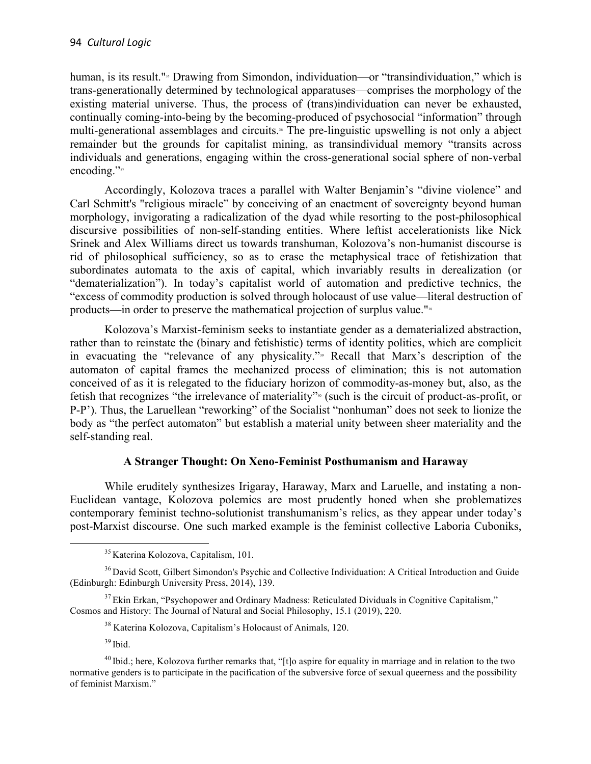human, is its result."<sup>35</sup> Drawing from Simondon, individuation—or "transindividuation," which is trans-generationally determined by technological apparatuses—comprises the morphology of the existing material universe. Thus, the process of (trans)individuation can never be exhausted, continually coming-into-being by the becoming-produced of psychosocial "information" through multi-generational assemblages and circuits.<sup>\*</sup> The pre-linguistic upswelling is not only a abject remainder but the grounds for capitalist mining, as transindividual memory "transits across individuals and generations, engaging within the cross-generational social sphere of non-verbal encoding."<sup>37</sup>

Accordingly, Kolozova traces a parallel with Walter Benjamin's "divine violence" and Carl Schmitt's "religious miracle" by conceiving of an enactment of sovereignty beyond human morphology, invigorating a radicalization of the dyad while resorting to the post-philosophical discursive possibilities of non-self-standing entities. Where leftist accelerationists like Nick Srinek and Alex Williams direct us towards transhuman, Kolozova's non-humanist discourse is rid of philosophical sufficiency, so as to erase the metaphysical trace of fetishization that subordinates automata to the axis of capital, which invariably results in derealization (or "dematerialization"). In today's capitalist world of automation and predictive technics, the "excess of commodity production is solved through holocaust of use value—literal destruction of products—in order to preserve the mathematical projection of surplus value."<sup>38</sup>

Kolozova's Marxist-feminism seeks to instantiate gender as a dematerialized abstraction, rather than to reinstate the (binary and fetishistic) terms of identity politics, which are complicit in evacuating the "relevance of any physicality."<sup>39</sup> Recall that Marx's description of the automaton of capital frames the mechanized process of elimination; this is not automation conceived of as it is relegated to the fiduciary horizon of commodity-as-money but, also, as the fetish that recognizes "the irrelevance of materiality"<sup>40</sup> (such is the circuit of product-as-profit, or P-P'). Thus, the Laruellean "reworking" of the Socialist "nonhuman" does not seek to lionize the body as "the perfect automaton" but establish a material unity between sheer materiality and the self-standing real.

# **A Stranger Thought: On Xeno-Feminist Posthumanism and Haraway**

While eruditely synthesizes Irigaray, Haraway, Marx and Laruelle, and instating a non-Euclidean vantage, Kolozova polemics are most prudently honed when she problematizes contemporary feminist techno-solutionist transhumanism's relics, as they appear under today's post-Marxist discourse. One such marked example is the feminist collective Laboria Cuboniks,

 $39$  Ibid.

 <sup>35</sup> Katerina Kolozova, Capitalism, 101.

<sup>&</sup>lt;sup>36</sup> David Scott, Gilbert Simondon's Psychic and Collective Individuation: A Critical Introduction and Guide (Edinburgh: Edinburgh University Press, 2014), 139.

<sup>&</sup>lt;sup>37</sup> Ekin Erkan, "Psychopower and Ordinary Madness: Reticulated Dividuals in Cognitive Capitalism," Cosmos and History: The Journal of Natural and Social Philosophy, 15.1 (2019), 220.

<sup>38</sup> Katerina Kolozova, Capitalism's Holocaust of Animals, 120.

<sup>&</sup>lt;sup>40</sup> Ibid.; here, Kolozova further remarks that, "[t]o aspire for equality in marriage and in relation to the two normative genders is to participate in the pacification of the subversive force of sexual queerness and the possibility of feminist Marxism."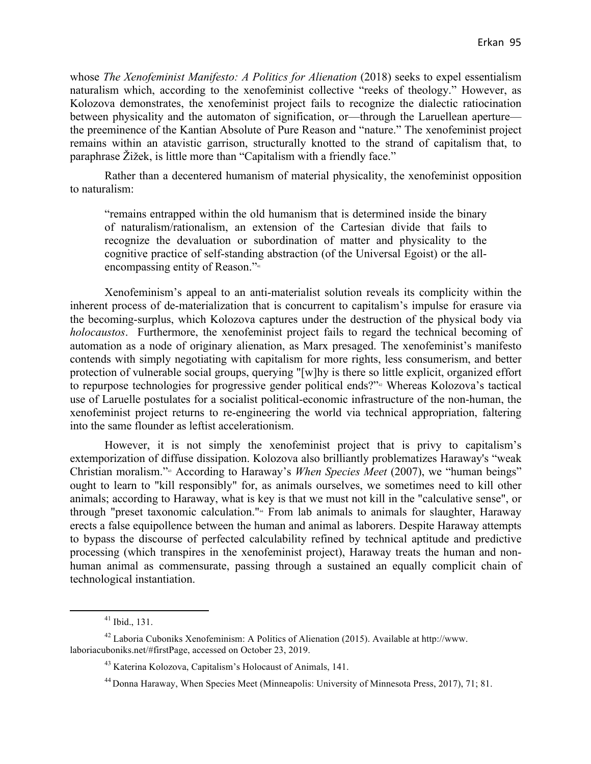whose *The Xenofeminist Manifesto: A Politics for Alienation* (2018) seeks to expel essentialism naturalism which, according to the xenofeminist collective "reeks of theology." However, as Kolozova demonstrates, the xenofeminist project fails to recognize the dialectic ratiocination between physicality and the automaton of signification, or—through the Laruellean aperture the preeminence of the Kantian Absolute of Pure Reason and "nature." The xenofeminist project remains within an atavistic garrison, structurally knotted to the strand of capitalism that, to paraphrase Žižek, is little more than "Capitalism with a friendly face."

Rather than a decentered humanism of material physicality, the xenofeminist opposition to naturalism:

"remains entrapped within the old humanism that is determined inside the binary of naturalism/rationalism, an extension of the Cartesian divide that fails to recognize the devaluation or subordination of matter and physicality to the cognitive practice of self-standing abstraction (of the Universal Egoist) or the allencompassing entity of Reason."<sup>41</sup>

Xenofeminism's appeal to an anti-materialist solution reveals its complicity within the inherent process of de-materialization that is concurrent to capitalism's impulse for erasure via the becoming-surplus, which Kolozova captures under the destruction of the physical body via *holocaustos*. Furthermore, the xenofeminist project fails to regard the technical becoming of automation as a node of originary alienation, as Marx presaged. The xenofeminist's manifesto contends with simply negotiating with capitalism for more rights, less consumerism, and better protection of vulnerable social groups, querying "[w]hy is there so little explicit, organized effort to repurpose technologies for progressive gender political ends?"<sup>42</sup> Whereas Kolozova's tactical use of Laruelle postulates for a socialist political-economic infrastructure of the non-human, the xenofeminist project returns to re-engineering the world via technical appropriation, faltering into the same flounder as leftist accelerationism.

However, it is not simply the xenofeminist project that is privy to capitalism's extemporization of diffuse dissipation. Kolozova also brilliantly problematizes Haraway's "weak Christian moralism."<sup>43</sup> According to Haraway's *When Species Meet* (2007), we "human beings" ought to learn to "kill responsibly" for, as animals ourselves, we sometimes need to kill other animals; according to Haraway, what is key is that we must not kill in the "calculative sense", or through "preset taxonomic calculation."<sup>44</sup> From lab animals to animals for slaughter, Haraway erects a false equipollence between the human and animal as laborers. Despite Haraway attempts to bypass the discourse of perfected calculability refined by technical aptitude and predictive processing (which transpires in the xenofeminist project), Haraway treats the human and nonhuman animal as commensurate, passing through a sustained an equally complicit chain of technological instantiation.

 $41$  Ibid., 131.

<sup>42</sup> Laboria Cuboniks Xenofeminism: A Politics of Alienation (2015). Available at http://www. laboriacuboniks.net/#firstPage, accessed on October 23, 2019.

<sup>43</sup> Katerina Kolozova, Capitalism's Holocaust of Animals, 141.

<sup>44</sup> Donna Haraway, When Species Meet (Minneapolis: University of Minnesota Press, 2017), 71; 81.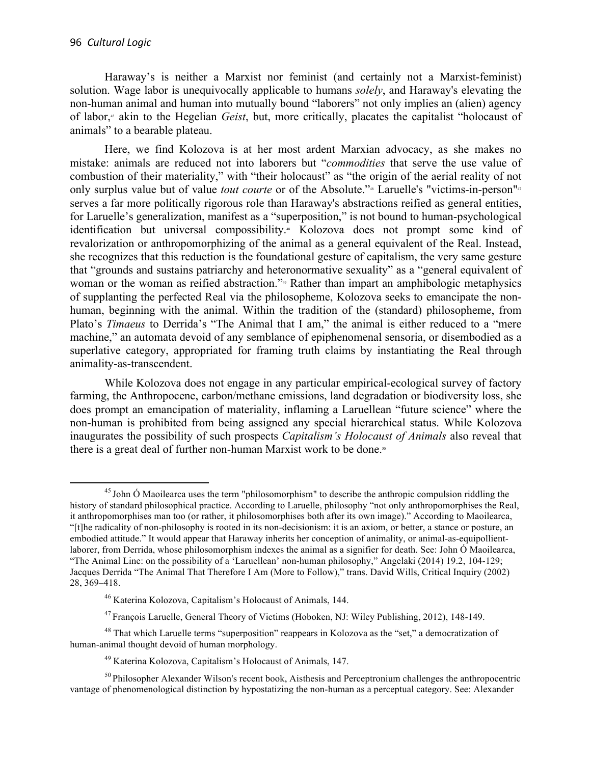Haraway's is neither a Marxist nor feminist (and certainly not a Marxist-feminist) solution. Wage labor is unequivocally applicable to humans *solely*, and Haraway's elevating the non-human animal and human into mutually bound "laborers" not only implies an (alien) agency of labor, <sup>45</sup> akin to the Hegelian *Geist*, but, more critically, placates the capitalist "holocaust of animals" to a bearable plateau.

Here, we find Kolozova is at her most ardent Marxian advocacy, as she makes no mistake: animals are reduced not into laborers but "*commodities* that serve the use value of combustion of their materiality," with "their holocaust" as "the origin of the aerial reality of not only surplus value but of value *tout courte* or of the Absolute."\* Laruelle's "victims-in-person"<sup>47</sup> serves a far more politically rigorous role than Haraway's abstractions reified as general entities, for Laruelle's generalization, manifest as a "superposition," is not bound to human-psychological identification but universal compossibility.<sup>48</sup> Kolozova does not prompt some kind of revalorization or anthropomorphizing of the animal as a general equivalent of the Real. Instead, she recognizes that this reduction is the foundational gesture of capitalism, the very same gesture that "grounds and sustains patriarchy and heteronormative sexuality" as a "general equivalent of woman or the woman as reified abstraction."<sup>4</sup> Rather than impart an amphibologic metaphysics of supplanting the perfected Real via the philosopheme, Kolozova seeks to emancipate the nonhuman, beginning with the animal. Within the tradition of the (standard) philosopheme, from Plato's *Timaeus* to Derrida's "The Animal that I am," the animal is either reduced to a "mere machine," an automata devoid of any semblance of epiphenomenal sensoria, or disembodied as a superlative category, appropriated for framing truth claims by instantiating the Real through animality-as-transcendent.

While Kolozova does not engage in any particular empirical-ecological survey of factory farming, the Anthropocene, carbon/methane emissions, land degradation or biodiversity loss, she does prompt an emancipation of materiality, inflaming a Laruellean "future science" where the non-human is prohibited from being assigned any special hierarchical status. While Kolozova inaugurates the possibility of such prospects *Capitalism's Holocaust of Animals* also reveal that there is a great deal of further non-human Marxist work to be done.<sup>50</sup>

<sup>&</sup>lt;sup>45</sup> John Ó Maoilearca uses the term "philosomorphism" to describe the anthropic compulsion riddling the history of standard philosophical practice. According to Laruelle, philosophy "not only anthropomorphises the Real, it anthropomorphises man too (or rather, it philosomorphises both after its own image)." According to Maoilearca, "[t]he radicality of non-philosophy is rooted in its non-decisionism: it is an axiom, or better, a stance or posture, an embodied attitude." It would appear that Haraway inherits her conception of animality, or animal-as-equipollientlaborer, from Derrida, whose philosomorphism indexes the animal as a signifier for death. See: John Ó Maoilearca, "The Animal Line: on the possibility of a 'Laruellean' non-human philosophy," Angelaki (2014) 19.2, 104-129; Jacques Derrida "The Animal That Therefore I Am (More to Follow)," trans. David Wills, Critical Inquiry (2002) 28, 369–418.

<sup>46</sup> Katerina Kolozova, Capitalism's Holocaust of Animals, 144.

<sup>&</sup>lt;sup>47</sup> Francois Laruelle, General Theory of Victims (Hoboken, NJ: Wiley Publishing, 2012), 148-149.

<sup>48</sup> That which Laruelle terms "superposition" reappears in Kolozova as the "set," a democratization of human-animal thought devoid of human morphology.

<sup>49</sup> Katerina Kolozova, Capitalism's Holocaust of Animals, 147.

<sup>&</sup>lt;sup>50</sup> Philosopher Alexander Wilson's recent book, Aisthesis and Perceptronium challenges the anthropocentric vantage of phenomenological distinction by hypostatizing the non-human as a perceptual category. See: Alexander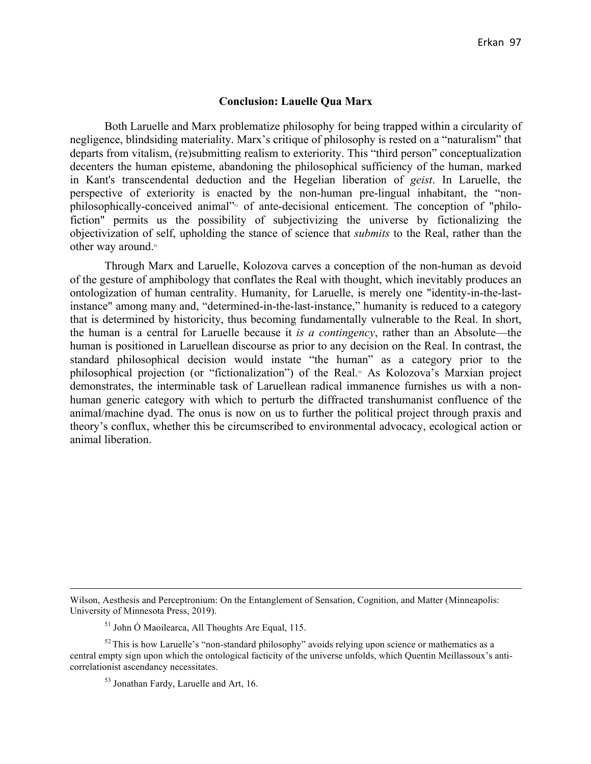#### **Conclusion: Lauelle Qua Marx**

Both Laruelle and Marx problematize philosophy for being trapped within a circularity of negligence, blindsiding materiality. Marx's critique of philosophy is rested on a "naturalism" that departs from vitalism, (re)submitting realism to exteriority. This "third person" conceptualization decenters the human episteme, abandoning the philosophical sufficiency of the human, marked in Kant's transcendental deduction and the Hegelian liberation of *geist*. In Laruelle, the perspective of exteriority is enacted by the non-human pre-lingual inhabitant, the "nonphilosophically-conceived animal"51 of ante-decisional enticement. The conception of "philofiction" permits us the possibility of subjectivizing the universe by fictionalizing the objectivization of self, upholding the stance of science that *submits* to the Real, rather than the other way around.<sup>52</sup>

Through Marx and Laruelle, Kolozova carves a conception of the non-human as devoid of the gesture of amphibology that conflates the Real with thought, which inevitably produces an ontologization of human centrality. Humanity, for Laruelle, is merely one "identity-in-the-lastinstance" among many and, "determined-in-the-last-instance," humanity is reduced to a category that is determined by historicity, thus becoming fundamentally vulnerable to the Real. In short, the human is a central for Laruelle because it *is a contingency*, rather than an Absolute—the human is positioned in Laruellean discourse as prior to any decision on the Real. In contrast, the standard philosophical decision would instate "the human" as a category prior to the philosophical projection (or "fictionalization") of the Real.<sup>53</sup> As Kolozova's Marxian project demonstrates, the interminable task of Laruellean radical immanence furnishes us with a nonhuman generic category with which to perturb the diffracted transhumanist confluence of the animal/machine dyad. The onus is now on us to further the political project through praxis and theory's conflux, whether this be circumscribed to environmental advocacy, ecological action or animal liberation.

<u> 1989 - Jan Sarajević, politički predsjednik i politički predsjednik i politički politički politički političk</u>

Wilson, Aesthesis and Perceptronium: On the Entanglement of Sensation, Cognition, and Matter (Minneapolis: University of Minnesota Press, 2019).

<sup>51</sup> John Ó Maoilearca, All Thoughts Are Equal, 115.

 $52$  This is how Laruelle's "non-standard philosophy" avoids relying upon science or mathematics as a central empty sign upon which the ontological facticity of the universe unfolds, which Quentin Meillassoux's anticorrelationist ascendancy necessitates.

<sup>53</sup> Jonathan Fardy, Laruelle and Art, 16.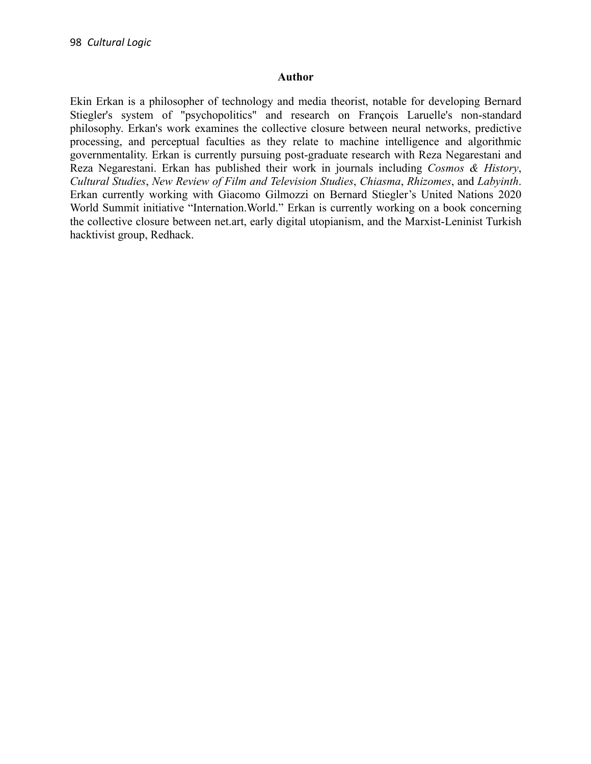### **Author**

Ekin Erkan is a philosopher of technology and media theorist, notable for developing Bernard Stiegler's system of "psychopolitics" and research on François Laruelle's non-standard philosophy. Erkan's work examines the collective closure between neural networks, predictive processing, and perceptual faculties as they relate to machine intelligence and algorithmic governmentality. Erkan is currently pursuing post-graduate research with Reza Negarestani and Reza Negarestani. Erkan has published their work in journals including *Cosmos & History*, *Cultural Studies*, *New Review of Film and Television Studies*, *Chiasma*, *Rhizomes*, and *Labyinth*. Erkan currently working with Giacomo Gilmozzi on Bernard Stiegler's United Nations 2020 World Summit initiative "Internation.World." Erkan is currently working on a book concerning the collective closure between net.art, early digital utopianism, and the Marxist-Leninist Turkish hacktivist group, Redhack.